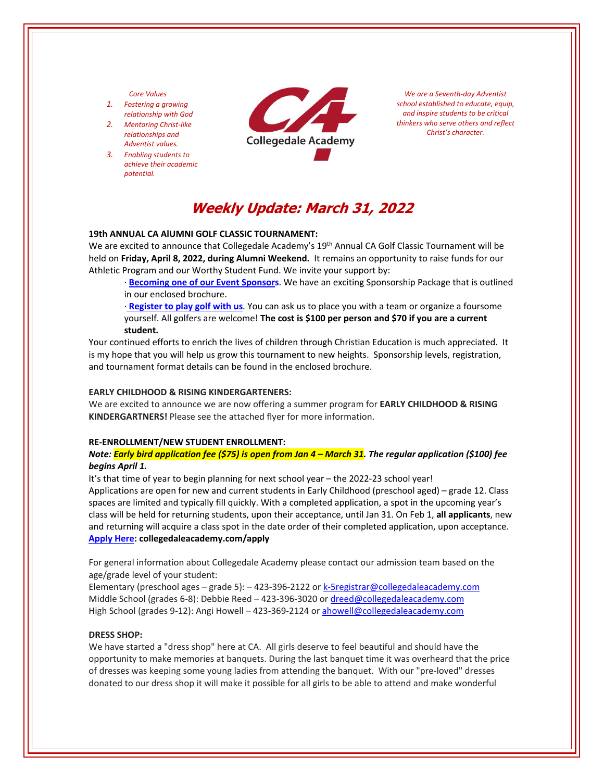## *Core Values*

- *1. Fostering a growing relationship with God*
- *2. Mentoring Christ‐like relationships and Adventist values.*
- *3. Enabling students to achieve their academic potential.*



*We are a Seventh‐day Adventist school established to educate, equip, and inspire students to be critical thinkers who serve others and reflect Christ's character.*

# **Weekly Update: March 31, 2022**

## **19th ANNUAL CA AlUMNI GOLF CLASSIC TOURNAMENT:**

We are excited to announce that Collegedale Academy's 19<sup>th</sup> Annual CA Golf Classic Tournament will be held on **Friday, April 8, 2022, during Alumni Weekend.** It remains an opportunity to raise funds for our Athletic Program and our Worthy Student Fund. We invite your support by:

∙ **[Becoming](https://crm.bloomerang.co/HostedDonation?ApiKey=pub_250e15cb-6f93-11e6-9d49-0a1b37ae639f&WidgetId=17985536) one of our Event Sponsors**. We have an exciting Sponsorship Package that is outlined in our enclosed brochure.

∙ **[Register](https://crm.bloomerang.co/HostedDonation?ApiKey=pub_250e15cb-6f93-11e6-9d49-0a1b37ae639f&WidgetId=17985536) to play golf with us**. You can ask us to place you with a team or organize a foursome yourself. All golfers are welcome! **The cost is \$100 per person and \$70 if you are a current student.** 

Your continued efforts to enrich the lives of children through Christian Education is much appreciated. It is my hope that you will help us grow this tournament to new heights. Sponsorship levels, registration, and tournament format details can be found in the enclosed brochure.

#### **EARLY CHILDHOOD & RISING KINDERGARTENERS:**

We are excited to announce we are now offering a summer program for **EARLY CHILDHOOD & RISING KINDERGARTNERS!** Please see the attached flyer for more information.

#### **RE‐ENROLLMENT/NEW STUDENT ENROLLMENT:**

# Note: <mark>Early bird application fee (\$75) is open from Jan 4 – March 31</mark>. The regular application (\$100) fee *begins April 1.*

It's that time of year to begin planning for next school year – the 2022‐23 school year!

Applications are open for new and current students in Early Childhood (preschool aged) – grade 12. Class spaces are limited and typically fill quickly. With a completed application, a spot in the upcoming year's class will be held for returning students, upon their acceptance, until Jan 31. On Feb 1, **all applicants**, new and returning will acquire a class spot in the date order of their completed application, upon acceptance. **[Apply](collegedaleacademy.com/apply) Here: collegedaleacademy.com/apply**

For general information about Collegedale Academy please contact our admission team based on the age/grade level of your student:

Elementary (preschool ages – grade 5): – 423‐396‐2122 or k‐5registrar@collegedaleacademy.com Middle School (grades 6‐8): Debbie Reed – 423‐396‐3020 or dreed@collegedaleacademy.com High School (grades 9-12): Angi Howell – 423-369-2124 or ahowell@collegedaleacademy.com

# **DRESS SHOP:**

We have started a "dress shop" here at CA. All girls deserve to feel beautiful and should have the opportunity to make memories at banquets. During the last banquet time it was overheard that the price of dresses was keeping some young ladies from attending the banquet. With our "pre‐loved" dresses donated to our dress shop it will make it possible for all girls to be able to attend and make wonderful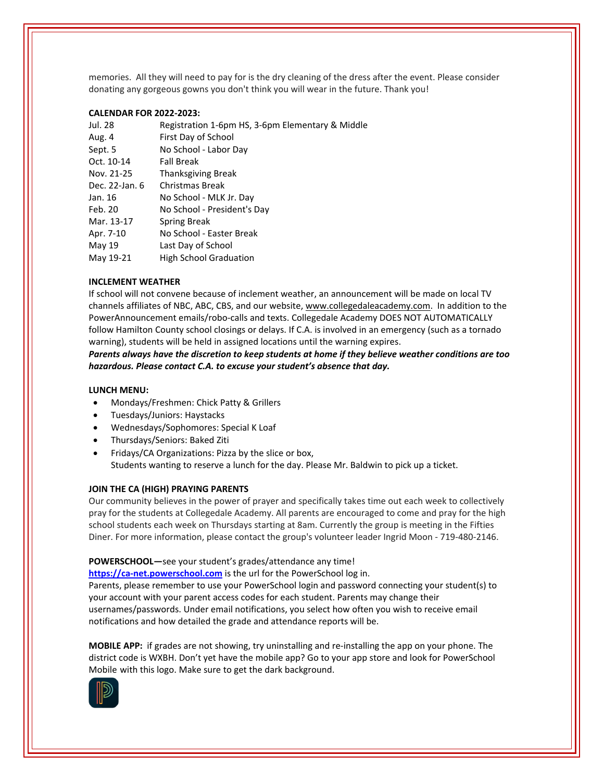memories. All they will need to pay for is the dry cleaning of the dress after the event. Please consider donating any gorgeous gowns you don't think you will wear in the future. Thank you!

# **CALENDAR FOR 2022‐2023:**

| Jul. 28        | Registration 1-6pm HS, 3-6pm Elementary & Middle |
|----------------|--------------------------------------------------|
| Aug. 4         | First Day of School                              |
| Sept. 5        | No School - Labor Day                            |
| Oct. 10-14     | <b>Fall Break</b>                                |
| Nov. 21-25     | <b>Thanksgiving Break</b>                        |
| Dec. 22-Jan. 6 | Christmas Break                                  |
| Jan. 16        | No School - MLK Jr. Day                          |
| Feb. 20        | No School - President's Day                      |
| Mar. 13-17     | Spring Break                                     |
| Apr. 7-10      | No School - Easter Break                         |
| May 19         | Last Day of School                               |
| May 19-21      | <b>High School Graduation</b>                    |

# **INCLEMENT WEATHER**

If school will not convene because of inclement weather, an announcement will be made on local TV channels affiliates of NBC, ABC, CBS, and our website, [www.collegedaleacademy.com.](https://www.collegedaleacademy.com/) In addition to the PowerAnnouncement emails/robo‐calls and texts. Collegedale Academy DOES NOT AUTOMATICALLY follow Hamilton County school closings or delays. If C.A. is involved in an emergency (such as a tornado warning), students will be held in assigned locations until the warning expires.

*Parents always have the discretion to keep students at home if they believe weather conditions are too hazardous. Please contact C.A. to excuse your student's absence that day.*

## **LUNCH MENU:**

- Mondays/Freshmen: Chick Patty & Grillers
- Tuesdays/Juniors: Haystacks
- Wednesdays/Sophomores: Special K Loaf
- Thursdays/Seniors: Baked Ziti
- Fridays/CA Organizations: Pizza by the slice or box, Students wanting to reserve a lunch for the day. Please Mr. Baldwin to pick up a ticket.

# **JOIN THE CA (HIGH) PRAYING PARENTS**

Our community believes in the power of prayer and specifically takes time out each week to collectively pray for the students at Collegedale Academy. All parents are encouraged to come and pray for the high school students each week on Thursdays starting at 8am. Currently the group is meeting in the Fifties Diner. For more information, please contact the group's volunteer leader Ingrid Moon ‐ 719‐480‐2146.

# **POWERSCHOOL—**see your student's grades/attendance any time!

https://ca-[net.powerschool.com](https://ca-net.powerschool.com/public/) is the url for the PowerSchool log in.

Parents, please remember to use your PowerSchool login and password connecting your student(s) to your account with your parent access codes for each student. Parents may change their usernames/passwords. Under email notifications, you select how often you wish to receive email notifications and how detailed the grade and attendance reports will be.

**MOBILE APP:** if grades are not showing, try uninstalling and re‐installing the app on your phone. The district code is WXBH. Don't yet have the mobile app? Go to your app store and look for PowerSchool Mobile with this logo. Make sure to get the dark background.

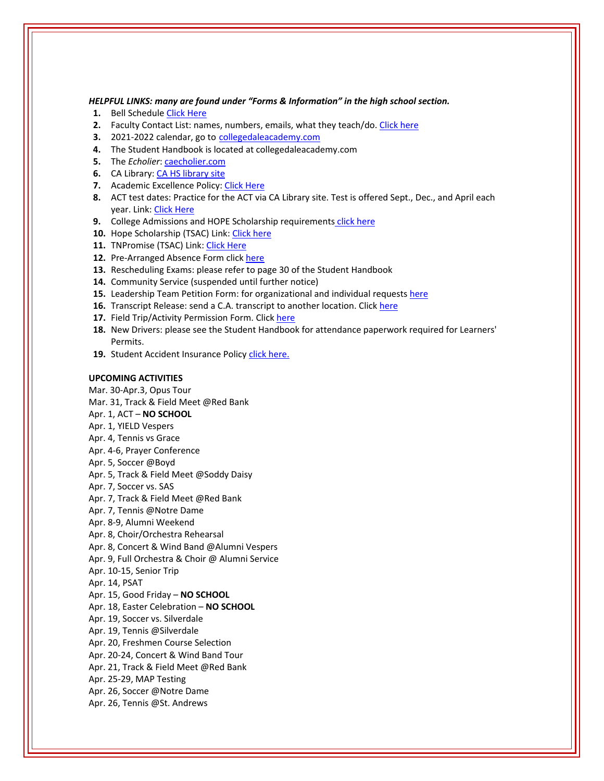### *HELPFUL LINKS: many are found under "Forms & Information" in the high school section.*

- **1.** Bell Schedule Click [Here](https://www.collegedaleacademy.com/wp-content/uploads/2018/08/Bell-Schedule.pdf)
- **2.** Faculty Contact List: names, numbers, emails, what they teach/do. [Click](https://www.collegedaleacademy.com/wp-content/uploads/2021/08/faculty-only-2021-2022.pdf) here
- **3.** 2021‐2022 calendar, go to [collegedaleacademy.com](https://www.collegedaleacademy.com/calendars/)
- **4.** The Student Handbook is located at collegedaleacademy.com
- **5.** The *Echolier*: **[caecholier.com](https://caecholier.com/)**
- **6.** CA Library: CA HS [library](https://southernuniongcc.mlasolutions.com/m5/catalog/(S(5on04kskwlnf2namcn0mjewr))/default.aspx?installation=CDA) site
- **7.** Academic Excellence Policy: Click [Here](https://www.collegedaleacademy.com/wp-content/uploads/2018/08/Academic-Excellence-Policy.pdf)
- **8.** ACT test dates: Practice for the ACT via CA Library site. Test is offered Sept., Dec., and April each year. Link: Click [Here](https://www.act.org/)
- **9.** College Admissions and HOPE Scholarship requirements click [here](https://www.collegedaleacademy.com/wp-content/uploads/2019/08/TSAC-Scholarship-Info.pdf)
- 10. Hope Scholarship (TSAC) Link: Click [here](https://www.tn.gov/collegepays/money-for-college/tn-education-lottery-programs/tennessee-hope-scholarship.html)
- 11. TNPromise (TSAC) Link: Click [Here](https://www.tn.gov/tnpromise.html)
- 12. Pre-Arranged Absence Form click [here](https://www.collegedaleacademy.com/wp-content/uploads/2016/11/Class-Absence-Request-Form-May-2017.pdf)
- **13.** Rescheduling Exams: please refer to page 30 of the Student Handbook
- **14.** Community Service (suspended until further notice)
- **15.** Leadership Team Petition Form: for organizational and individual requests [here](https://www.collegedaleacademy.com/wp-content/uploads/2019/08/Leadership-Petition-SSch.pdf)
- **16.** Transcript Release: send a C.A. transcript to another location. Click [here](https://collegedaleacademy.wufoo.com/forms/q1bmc4gg10gftjs/)
- 17. Field Trip/Activity Permission Form. Click [here](https://www.collegedaleacademy.com/wp-content/uploads/2018/08/Field-Trip-form.pdf)
- **18.** New Drivers: please see the Student Handbook for attendance paperwork required for Learners' Permits.
- 19. Student Accident Insurance Policy click [here.](https://adventistrisk.org/en-us/insurance/nad/k-12-student-accident)

### **UPCOMING ACTIVITIES**

Mar. 30‐Apr.3, Opus Tour Mar. 31, Track & Field Meet @Red Bank Apr. 1, ACT – **NO SCHOOL** Apr. 1, YIELD Vespers Apr. 4, Tennis vs Grace Apr. 4‐6, Prayer Conference Apr. 5, Soccer @Boyd Apr. 5, Track & Field Meet @Soddy Daisy Apr. 7, Soccer vs. SAS Apr. 7, Track & Field Meet @Red Bank Apr. 7, Tennis @Notre Dame Apr. 8‐9, Alumni Weekend Apr. 8, Choir/Orchestra Rehearsal Apr. 8, Concert & Wind Band @Alumni Vespers Apr. 9, Full Orchestra & Choir @ Alumni Service Apr. 10‐15, Senior Trip Apr. 14, PSAT Apr. 15, Good Friday – **NO SCHOOL** Apr. 18, Easter Celebration – **NO SCHOOL** Apr. 19, Soccer vs. Silverdale Apr. 19, Tennis @Silverdale Apr. 20, Freshmen Course Selection Apr. 20‐24, Concert & Wind Band Tour Apr. 21, Track & Field Meet @Red Bank Apr. 25‐29, MAP Testing Apr. 26, Soccer @Notre Dame Apr. 26, Tennis @St. Andrews